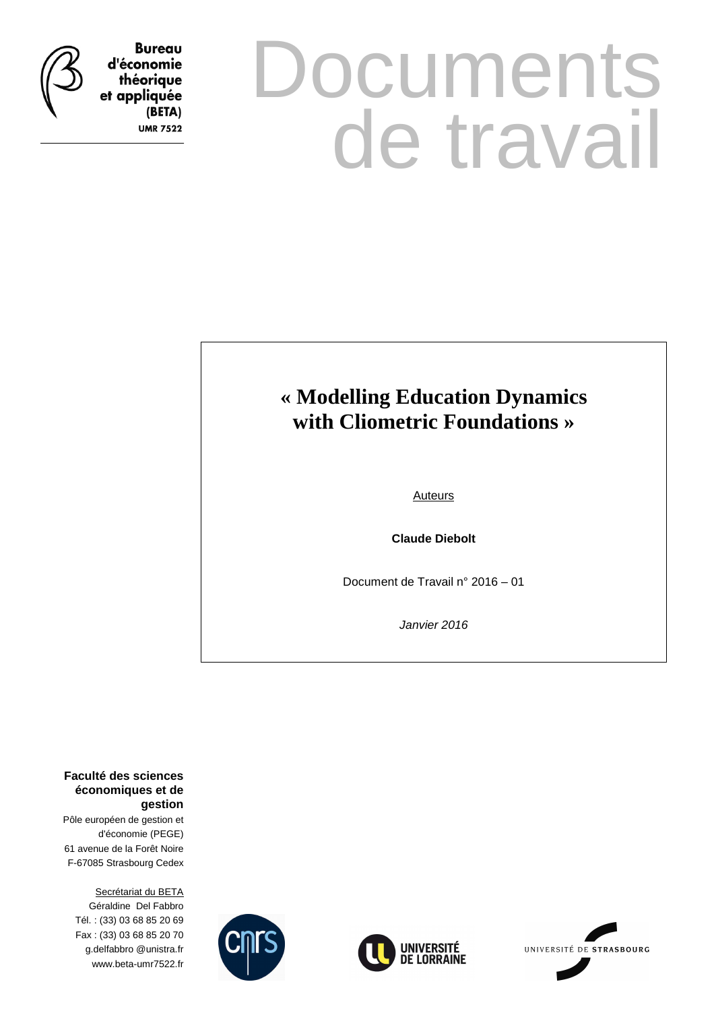

**Bureau** d'économie théorique et appliquée (BETA) **UMR 7522** 

# **Documents** de travail

### **« Modelling Education Dynamics with Cliometric Foundations »**

Auteurs

**Claude Diebolt** 

Document de Travail n° 2016 – 01

Janvier 2016

**Faculté des sciences économiques et de gestion**

Pôle européen de gestion et d'économie (PEGE) 61 avenue de la Forêt Noire F-67085 Strasbourg Cedex

Secrétariat du BETA Géraldine Del Fabbro Tél. : (33) 03 68 85 20 69 Fax : (33) 03 68 85 20 70 g.delfabbro @unistra.fr www.beta-umr7522.fr





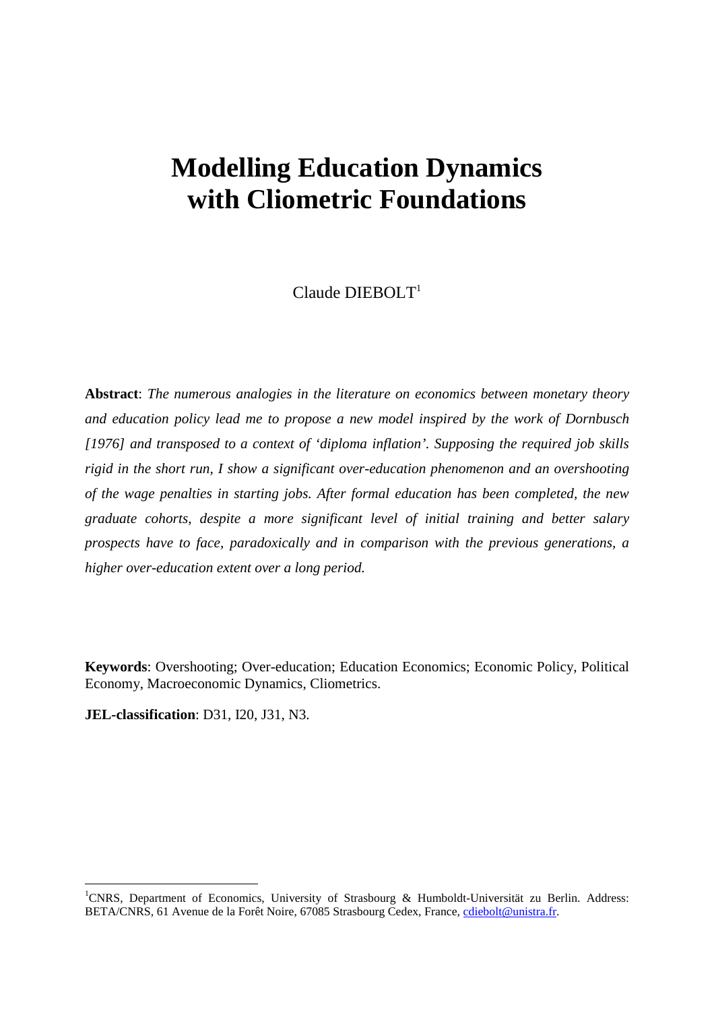## **Modelling Education Dynamics with Cliometric Foundations**

 $C$ laude DIEBOL $T<sup>1</sup>$ 

**Abstract**: *The numerous analogies in the literature on economics between monetary theory and education policy lead me to propose a new model inspired by the work of Dornbusch [1976] and transposed to a context of 'diploma inflation'. Supposing the required job skills rigid in the short run, I show a significant over-education phenomenon and an overshooting of the wage penalties in starting jobs. After formal education has been completed, the new graduate cohorts, despite a more significant level of initial training and better salary prospects have to face, paradoxically and in comparison with the previous generations, a higher over-education extent over a long period.* 

**Keywords**: Overshooting; Over-education; Education Economics; Economic Policy, Political Economy, Macroeconomic Dynamics, Cliometrics.

**JEL-classification**: D31, I20, J31, N3.

<sup>&</sup>lt;sup>1</sup>CNRS, Department of Economics, University of Strasbourg & Humboldt-Universität zu Berlin. Address: BETA/CNRS, 61 Avenue de la Forêt Noire, 67085 Strasbourg Cedex, France, cdiebolt@unistra.fr.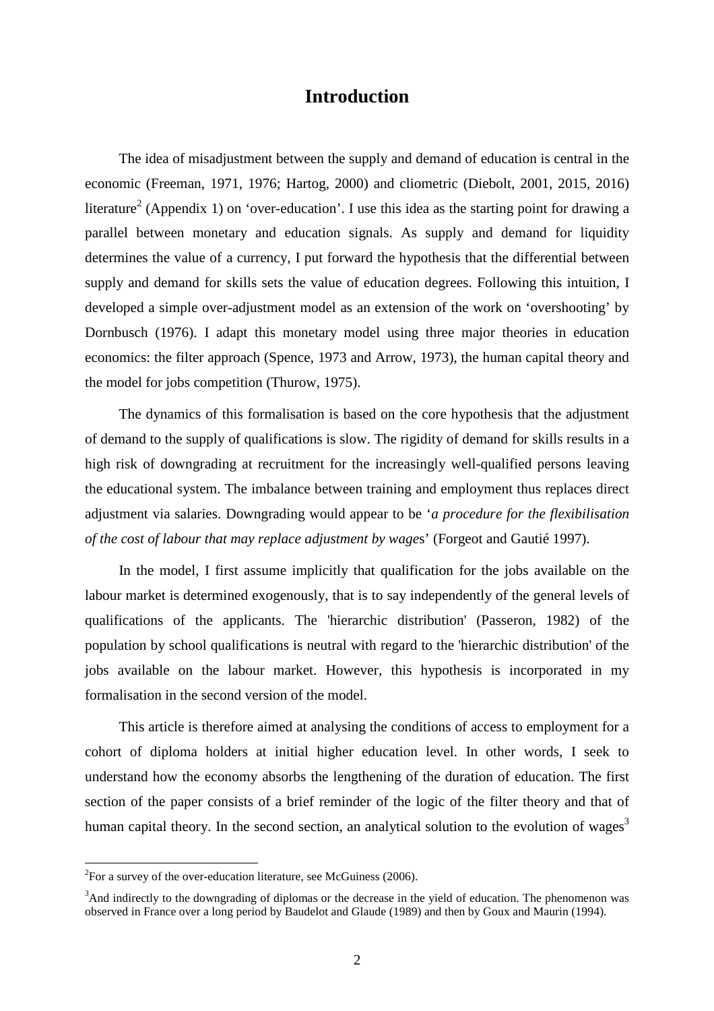#### **Introduction**

The idea of misadjustment between the supply and demand of education is central in the economic (Freeman, 1971, 1976; Hartog, 2000) and cliometric (Diebolt, 2001, 2015, 2016) literature<sup>2</sup> (Appendix 1) on 'over-education'. I use this idea as the starting point for drawing a parallel between monetary and education signals. As supply and demand for liquidity determines the value of a currency, I put forward the hypothesis that the differential between supply and demand for skills sets the value of education degrees. Following this intuition, I developed a simple over-adjustment model as an extension of the work on 'overshooting' by Dornbusch (1976). I adapt this monetary model using three major theories in education economics: the filter approach (Spence, 1973 and Arrow, 1973), the human capital theory and the model for jobs competition (Thurow, 1975).

The dynamics of this formalisation is based on the core hypothesis that the adjustment of demand to the supply of qualifications is slow. The rigidity of demand for skills results in a high risk of downgrading at recruitment for the increasingly well-qualified persons leaving the educational system. The imbalance between training and employment thus replaces direct adjustment via salaries. Downgrading would appear to be '*a procedure for the flexibilisation of the cost of labour that may replace adjustment by wage*s' (Forgeot and Gautié 1997).

In the model, I first assume implicitly that qualification for the jobs available on the labour market is determined exogenously, that is to say independently of the general levels of qualifications of the applicants. The 'hierarchic distribution' (Passeron, 1982) of the population by school qualifications is neutral with regard to the 'hierarchic distribution' of the jobs available on the labour market. However, this hypothesis is incorporated in my formalisation in the second version of the model.

This article is therefore aimed at analysing the conditions of access to employment for a cohort of diploma holders at initial higher education level. In other words, I seek to understand how the economy absorbs the lengthening of the duration of education. The first section of the paper consists of a brief reminder of the logic of the filter theory and that of human capital theory. In the second section, an analytical solution to the evolution of wages<sup>3</sup>

<sup>&</sup>lt;sup>2</sup>For a survey of the over-education literature, see McGuiness (2006).

<sup>&</sup>lt;sup>3</sup>And indirectly to the downgrading of diplomas or the decrease in the yield of education. The phenomenon was observed in France over a long period by Baudelot and Glaude (1989) and then by Goux and Maurin (1994).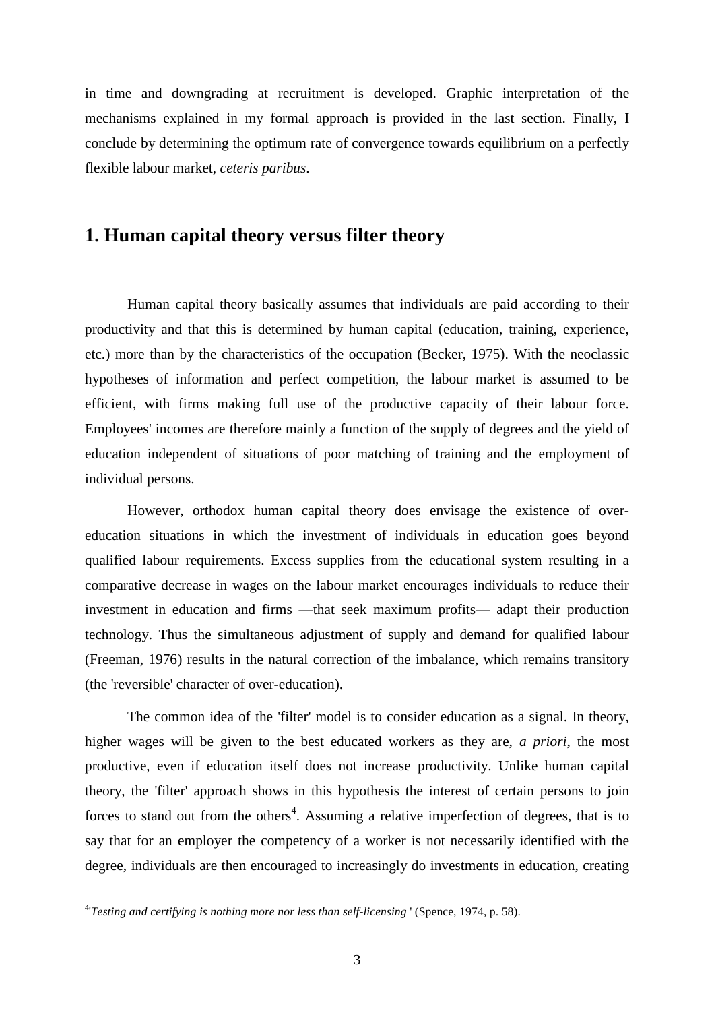in time and downgrading at recruitment is developed. Graphic interpretation of the mechanisms explained in my formal approach is provided in the last section. Finally, I conclude by determining the optimum rate of convergence towards equilibrium on a perfectly flexible labour market, *ceteris paribus*.

#### **1. Human capital theory versus filter theory**

Human capital theory basically assumes that individuals are paid according to their productivity and that this is determined by human capital (education, training, experience, etc.) more than by the characteristics of the occupation (Becker, 1975). With the neoclassic hypotheses of information and perfect competition, the labour market is assumed to be efficient, with firms making full use of the productive capacity of their labour force. Employees' incomes are therefore mainly a function of the supply of degrees and the yield of education independent of situations of poor matching of training and the employment of individual persons.

However, orthodox human capital theory does envisage the existence of overeducation situations in which the investment of individuals in education goes beyond qualified labour requirements. Excess supplies from the educational system resulting in a comparative decrease in wages on the labour market encourages individuals to reduce their investment in education and firms —that seek maximum profits— adapt their production technology. Thus the simultaneous adjustment of supply and demand for qualified labour (Freeman, 1976) results in the natural correction of the imbalance, which remains transitory (the 'reversible' character of over-education).

The common idea of the 'filter' model is to consider education as a signal. In theory, higher wages will be given to the best educated workers as they are, *a priori*, the most productive, even if education itself does not increase productivity. Unlike human capital theory, the 'filter' approach shows in this hypothesis the interest of certain persons to join forces to stand out from the others<sup>4</sup>. Assuming a relative imperfection of degrees, that is to say that for an employer the competency of a worker is not necessarily identified with the degree, individuals are then encouraged to increasingly do investments in education, creating

<sup>4</sup> '*Testing and certifying is nothing more nor less than self-licensing* ' (Spence, 1974, p. 58).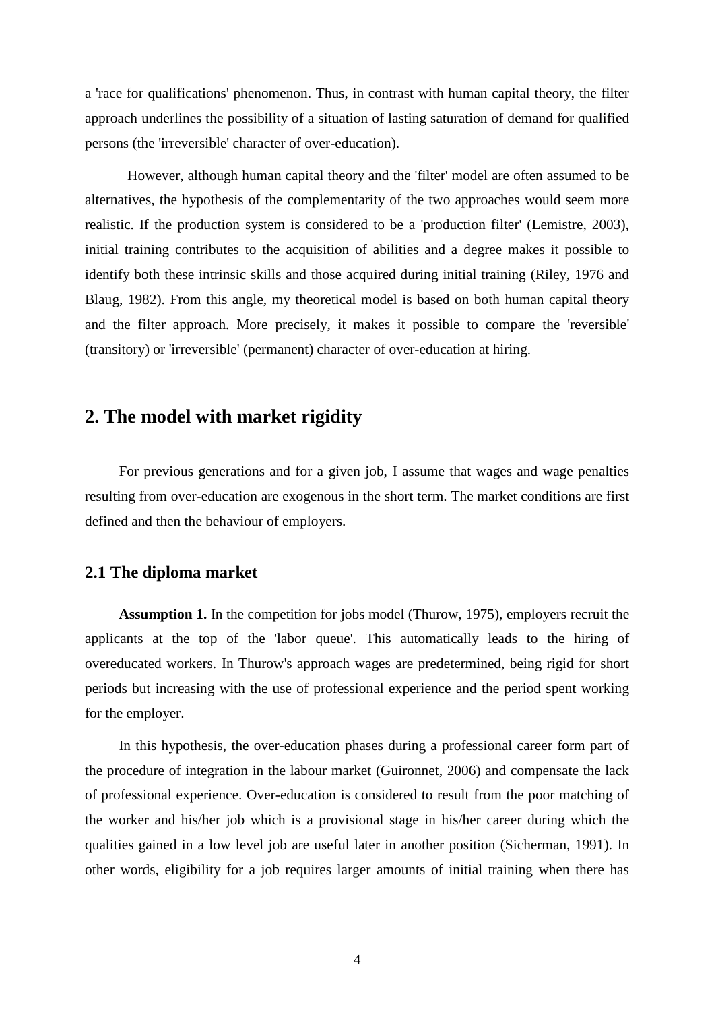a 'race for qualifications' phenomenon. Thus, in contrast with human capital theory, the filter approach underlines the possibility of a situation of lasting saturation of demand for qualified persons (the 'irreversible' character of over-education).

However, although human capital theory and the 'filter' model are often assumed to be alternatives, the hypothesis of the complementarity of the two approaches would seem more realistic. If the production system is considered to be a 'production filter' (Lemistre, 2003), initial training contributes to the acquisition of abilities and a degree makes it possible to identify both these intrinsic skills and those acquired during initial training (Riley, 1976 and Blaug, 1982). From this angle, my theoretical model is based on both human capital theory and the filter approach. More precisely, it makes it possible to compare the 'reversible' (transitory) or 'irreversible' (permanent) character of over-education at hiring.

#### **2. The model with market rigidity**

For previous generations and for a given job, I assume that wages and wage penalties resulting from over-education are exogenous in the short term. The market conditions are first defined and then the behaviour of employers.

#### **2.1 The diploma market**

**Assumption 1.** In the competition for jobs model (Thurow, 1975), employers recruit the applicants at the top of the 'labor queue'. This automatically leads to the hiring of overeducated workers. In Thurow's approach wages are predetermined, being rigid for short periods but increasing with the use of professional experience and the period spent working for the employer.

In this hypothesis, the over-education phases during a professional career form part of the procedure of integration in the labour market (Guironnet, 2006) and compensate the lack of professional experience. Over-education is considered to result from the poor matching of the worker and his/her job which is a provisional stage in his/her career during which the qualities gained in a low level job are useful later in another position (Sicherman, 1991). In other words, eligibility for a job requires larger amounts of initial training when there has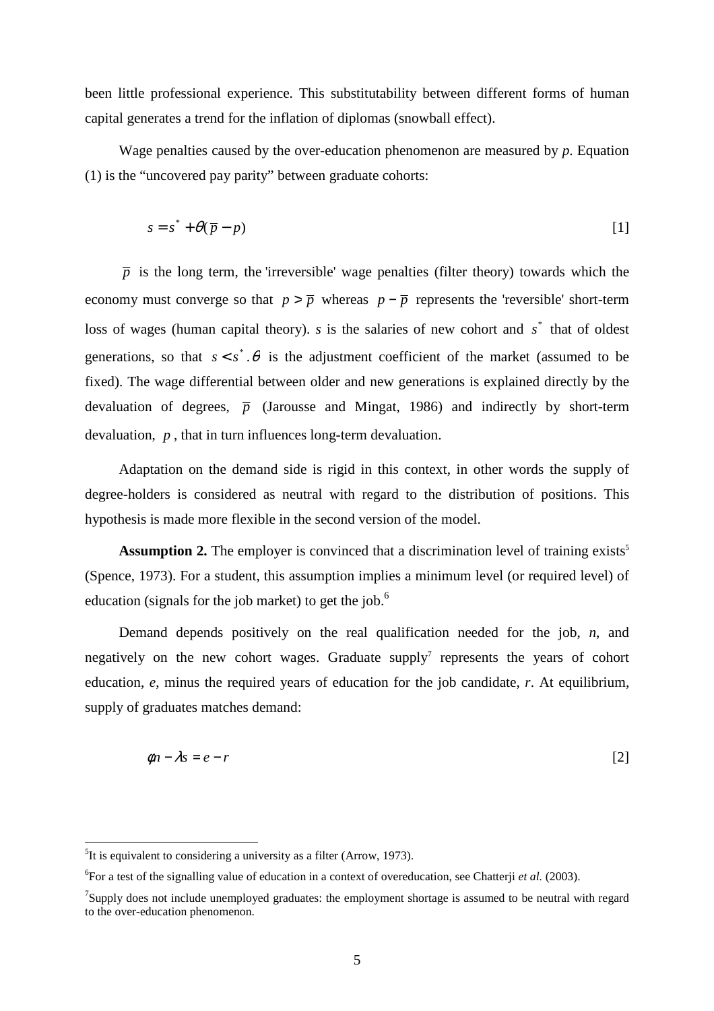been little professional experience. This substitutability between different forms of human capital generates a trend for the inflation of diplomas (snowball effect).

Wage penalties caused by the over-education phenomenon are measured by *p*. Equation (1) is the "uncovered pay parity" between graduate cohorts:

$$
s = s^* + \theta(\overline{p} - p) \tag{1}
$$

 $\bar{p}$  is the long term, the 'irreversible' wage penalties (filter theory) towards which the economy must converge so that  $p > \overline{p}$  whereas  $p - \overline{p}$  represents the 'reversible' short-term loss of wages (human capital theory).  $s$  is the salaries of new cohort and  $s^*$  that of oldest generations, so that  $s < s^*$ .  $\theta$  is the adjustment coefficient of the market (assumed to be fixed). The wage differential between older and new generations is explained directly by the devaluation of degrees,  $\bar{p}$  (Jarousse and Mingat, 1986) and indirectly by short-term devaluation, *p*, that in turn influences long-term devaluation.

Adaptation on the demand side is rigid in this context, in other words the supply of degree-holders is considered as neutral with regard to the distribution of positions. This hypothesis is made more flexible in the second version of the model.

**Assumption 2.** The employer is convinced that a discrimination level of training exists<sup>5</sup> (Spence, 1973). For a student, this assumption implies a minimum level (or required level) of education (signals for the job market) to get the job. $<sup>6</sup>$ </sup>

Demand depends positively on the real qualification needed for the job, *n*, and negatively on the new cohort wages. Graduate supply<sup>7</sup> represents the years of cohort education, *e*, minus the required years of education for the job candidate, *r*. At equilibrium, supply of graduates matches demand:

$$
\phi n - \lambda s = e - r \tag{2}
$$

 ${}^{5}$ It is equivalent to considering a university as a filter (Arrow, 1973).

<sup>6</sup> For a test of the signalling value of education in a context of overeducation, see Chatterji *et al.* (2003).

 $7$ Supply does not include unemployed graduates: the employment shortage is assumed to be neutral with regard to the over-education phenomenon.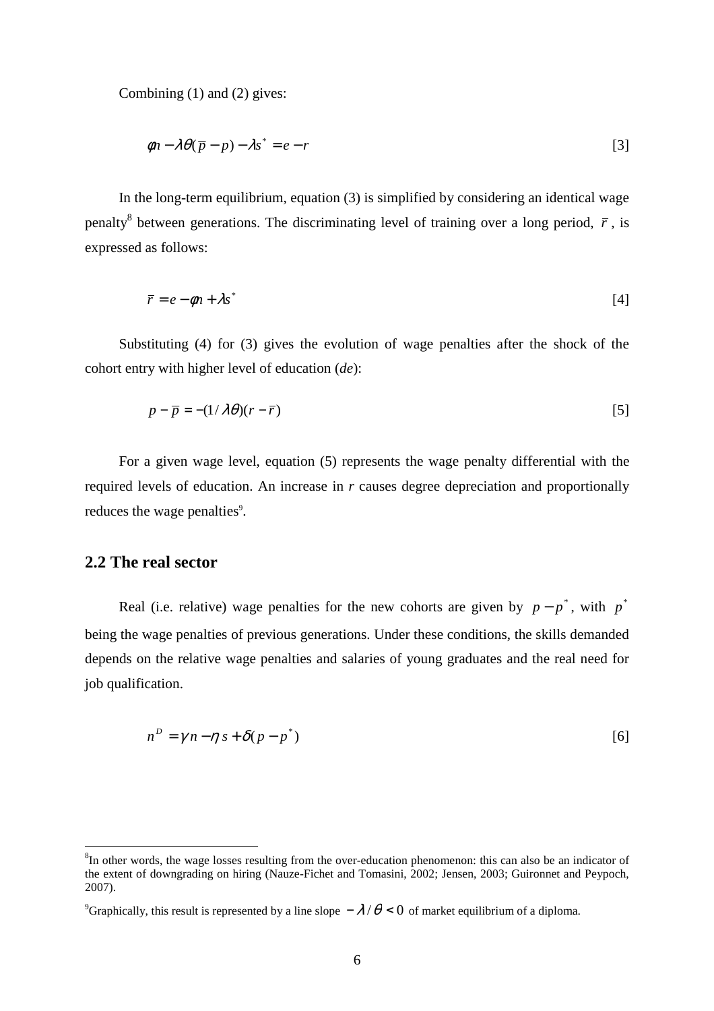Combining (1) and (2) gives:

$$
\phi n - \lambda \theta (\overline{p} - p) - \lambda s^* = e - r \tag{3}
$$

In the long-term equilibrium, equation (3) is simplified by considering an identical wage penalty<sup>8</sup> between generations. The discriminating level of training over a long period,  $\bar{r}$ , is expressed as follows:

$$
\overline{r} = e - \phi n + \lambda s^* \tag{4}
$$

Substituting (4) for (3) gives the evolution of wage penalties after the shock of the cohort entry with higher level of education (*de*):

$$
p - \overline{p} = -(1/\lambda \theta)(r - \overline{r})
$$
 [5]

For a given wage level, equation (5) represents the wage penalty differential with the required levels of education. An increase in *r* causes degree depreciation and proportionally reduces the wage penalties<sup>9</sup>.

#### **2.2 The real sector**

 $\overline{a}$ 

Real (i.e. relative) wage penalties for the new cohorts are given by  $p - p^*$ , with  $p^*$ being the wage penalties of previous generations. Under these conditions, the skills demanded depends on the relative wage penalties and salaries of young graduates and the real need for job qualification.

$$
n^D = \gamma n - \eta s + \delta(p - p^*)
$$
 [6]

 ${}^{8}$ In other words, the wage losses resulting from the over-education phenomenon: this can also be an indicator of the extent of downgrading on hiring (Nauze-Fichet and Tomasini, 2002; Jensen, 2003; Guironnet and Peypoch, 2007).

<sup>&</sup>lt;sup>9</sup>Graphically, this result is represented by a line slope  $-\lambda/\theta < 0$  of market equilibrium of a diploma.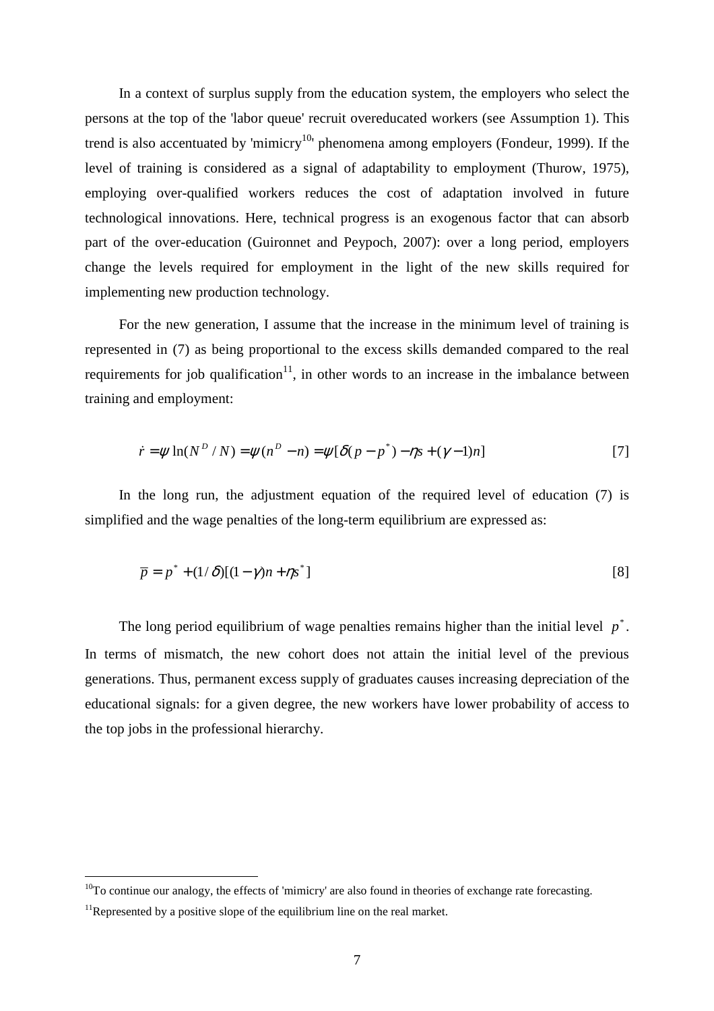In a context of surplus supply from the education system, the employers who select the persons at the top of the 'labor queue' recruit overeducated workers (see Assumption 1). This trend is also accentuated by 'mimicry<sup>10</sup>' phenomena among employers (Fondeur, 1999). If the level of training is considered as a signal of adaptability to employment (Thurow, 1975), employing over-qualified workers reduces the cost of adaptation involved in future technological innovations. Here, technical progress is an exogenous factor that can absorb part of the over-education (Guironnet and Peypoch, 2007): over a long period, employers change the levels required for employment in the light of the new skills required for implementing new production technology.

For the new generation, I assume that the increase in the minimum level of training is represented in (7) as being proportional to the excess skills demanded compared to the real requirements for job qualification<sup>11</sup>, in other words to an increase in the imbalance between training and employment:

$$
\dot{r} = \psi \ln(N^D / N) = \psi(n^D - n) = \psi[\delta(p - p^*) - \eta s + (\gamma - 1)n]
$$
 [7]

In the long run, the adjustment equation of the required level of education (7) is simplified and the wage penalties of the long-term equilibrium are expressed as:

$$
\overline{p} = p^* + (1/\delta)[(1-\gamma)n + \eta s^*]
$$

The long period equilibrium of wage penalties remains higher than the initial level  $p^*$ . In terms of mismatch, the new cohort does not attain the initial level of the previous generations. Thus, permanent excess supply of graduates causes increasing depreciation of the educational signals: for a given degree, the new workers have lower probability of access to the top jobs in the professional hierarchy.

 $10$ To continue our analogy, the effects of 'mimicry' are also found in theories of exchange rate forecasting.

 $11$ Represented by a positive slope of the equilibrium line on the real market.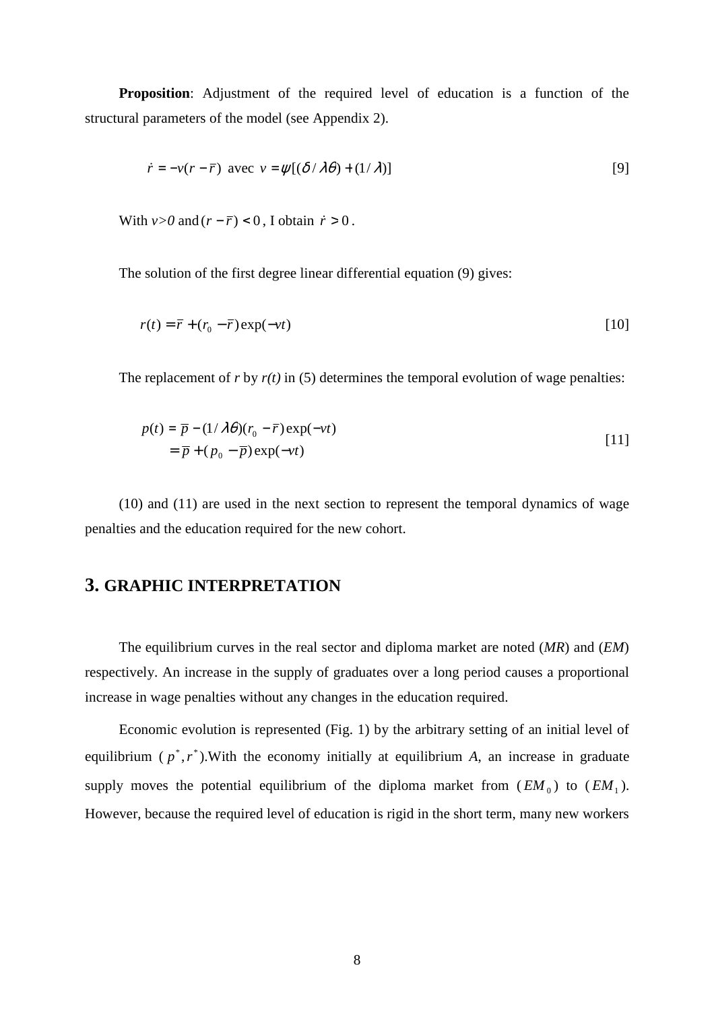**Proposition:** Adjustment of the required level of education is a function of the structural parameters of the model (see Appendix 2).

$$
\dot{r} = -v(r - \bar{r}) \text{ avec } v = \psi[(\delta/\lambda \theta) + (1/\lambda)] \tag{9}
$$

With  $v>0$  and  $(r-\bar{r}) < 0$ , I obtain  $\dot{r} > 0$ .

The solution of the first degree linear differential equation (9) gives:

$$
r(t) = \overline{r} + (r_0 - \overline{r}) \exp(-vt)
$$
 [10]

The replacement of  $r$  by  $r(t)$  in (5) determines the temporal evolution of wage penalties:

$$
p(t) = \overline{p} - (1/\lambda \theta)(r_0 - \overline{r}) \exp(-vt)
$$
  
=  $\overline{p} + (p_0 - \overline{p}) \exp(-vt)$  [11]

(10) and (11) are used in the next section to represent the temporal dynamics of wage penalties and the education required for the new cohort.

#### **3. GRAPHIC INTERPRETATION**

The equilibrium curves in the real sector and diploma market are noted (*MR*) and (*EM*) respectively. An increase in the supply of graduates over a long period causes a proportional increase in wage penalties without any changes in the education required.

Economic evolution is represented (Fig. 1) by the arbitrary setting of an initial level of equilibrium  $(p^*, r^*)$ . With the economy initially at equilibrium *A*, an increase in graduate supply moves the potential equilibrium of the diploma market from  $(EM_0)$  to  $(EM_1)$ . However, because the required level of education is rigid in the short term, many new workers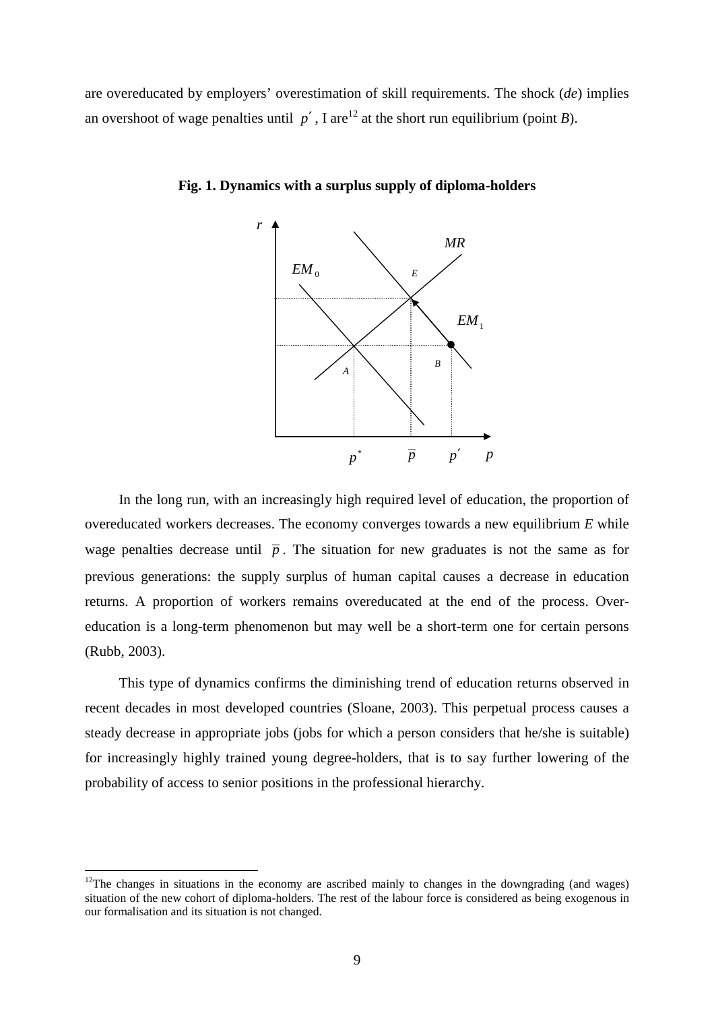are overeducated by employers' overestimation of skill requirements. The shock (*de*) implies an overshoot of wage penalties until  $p'$ , I are<sup>12</sup> at the short run equilibrium (point *B*).



**Fig. 1. Dynamics with a surplus supply of diploma-holders** 

In the long run, with an increasingly high required level of education, the proportion of overeducated workers decreases. The economy converges towards a new equilibrium *E* while wage penalties decrease until  $\bar{p}$ . The situation for new graduates is not the same as for previous generations: the supply surplus of human capital causes a decrease in education returns. A proportion of workers remains overeducated at the end of the process. Overeducation is a long-term phenomenon but may well be a short-term one for certain persons (Rubb, 2003).

This type of dynamics confirms the diminishing trend of education returns observed in recent decades in most developed countries (Sloane, 2003). This perpetual process causes a steady decrease in appropriate jobs (jobs for which a person considers that he/she is suitable) for increasingly highly trained young degree-holders, that is to say further lowering of the probability of access to senior positions in the professional hierarchy.

 $12$ The changes in situations in the economy are ascribed mainly to changes in the downgrading (and wages) situation of the new cohort of diploma-holders. The rest of the labour force is considered as being exogenous in our formalisation and its situation is not changed.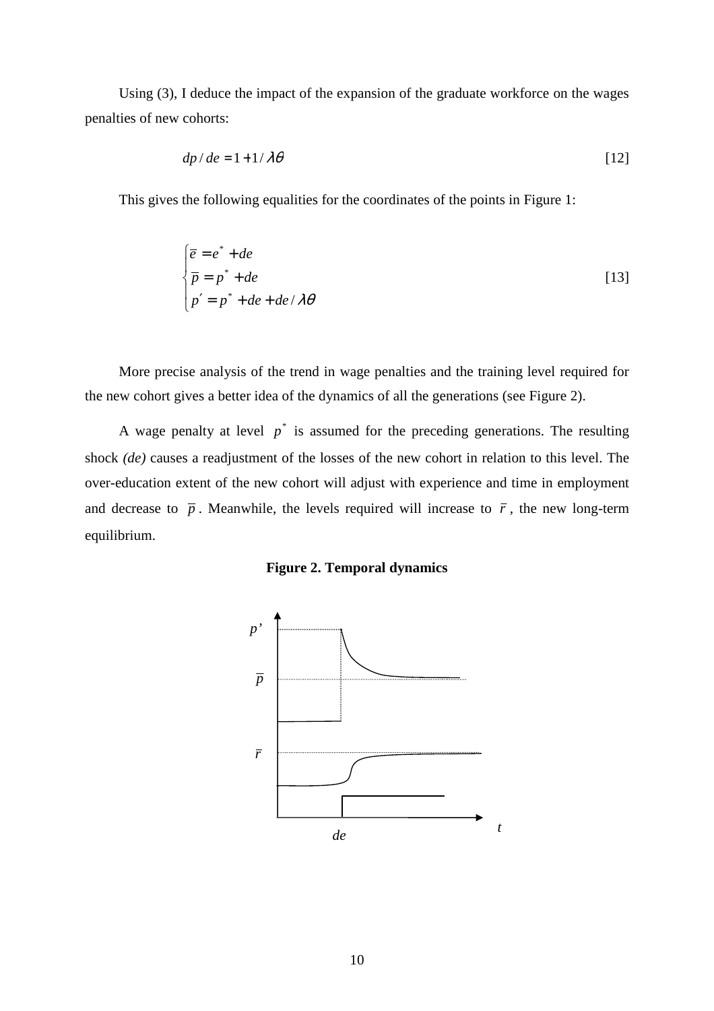Using (3), I deduce the impact of the expansion of the graduate workforce on the wages penalties of new cohorts:

$$
dp / de = 1 + 1 / \lambda \theta \tag{12}
$$

This gives the following equalities for the coordinates of the points in Figure 1:

$$
\begin{cases}\n\overline{e} = e^* + de \\
\overline{p} = p^* + de \\
p' = p^* + de + de / \lambda\theta\n\end{cases}
$$
\n[13]

More precise analysis of the trend in wage penalties and the training level required for the new cohort gives a better idea of the dynamics of all the generations (see Figure 2).

A wage penalty at level  $p^*$  is assumed for the preceding generations. The resulting shock *(de)* causes a readjustment of the losses of the new cohort in relation to this level. The over-education extent of the new cohort will adjust with experience and time in employment and decrease to  $\bar{p}$ . Meanwhile, the levels required will increase to  $\bar{r}$ , the new long-term equilibrium.

#### **Figure 2. Temporal dynamics**

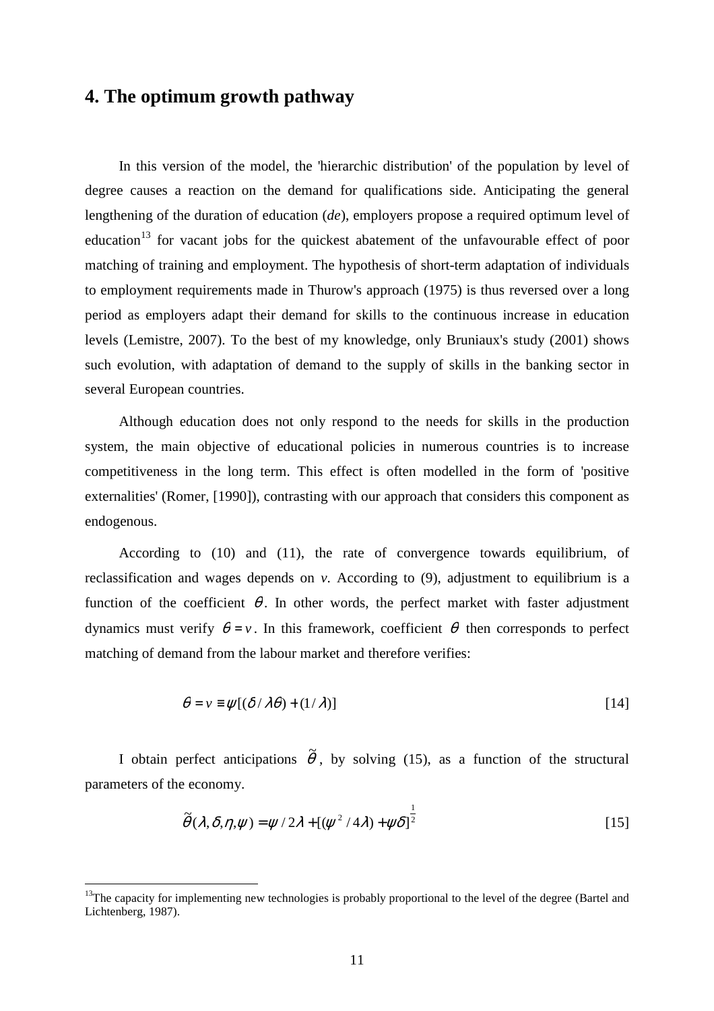#### **4. The optimum growth pathway**

In this version of the model, the 'hierarchic distribution' of the population by level of degree causes a reaction on the demand for qualifications side. Anticipating the general lengthening of the duration of education (*de*), employers propose a required optimum level of education<sup>13</sup> for vacant jobs for the quickest abatement of the unfavourable effect of poor matching of training and employment. The hypothesis of short-term adaptation of individuals to employment requirements made in Thurow's approach (1975) is thus reversed over a long period as employers adapt their demand for skills to the continuous increase in education levels (Lemistre, 2007). To the best of my knowledge, only Bruniaux's study (2001) shows such evolution, with adaptation of demand to the supply of skills in the banking sector in several European countries.

Although education does not only respond to the needs for skills in the production system, the main objective of educational policies in numerous countries is to increase competitiveness in the long term. This effect is often modelled in the form of 'positive externalities' (Romer, [1990]), contrasting with our approach that considers this component as endogenous.

According to (10) and (11), the rate of convergence towards equilibrium, of reclassification and wages depends on *v*. According to (9), adjustment to equilibrium is a function of the coefficient  $\theta$ . In other words, the perfect market with faster adjustment dynamics must verify  $\theta = v$ . In this framework, coefficient  $\theta$  then corresponds to perfect matching of demand from the labour market and therefore verifies:

$$
\theta = v \equiv \psi [(\delta / \lambda \theta) + (1 / \lambda)] \tag{14}
$$

I obtain perfect anticipations  $\tilde{\theta}$ , by solving (15), as a function of the structural parameters of the economy.

$$
\widetilde{\theta}(\lambda, \delta, \eta, \psi) = \psi / 2\lambda + [(\psi^2 / 4\lambda) + \psi \delta]^{\frac{1}{2}}
$$
 [15]

<sup>&</sup>lt;sup>13</sup>The capacity for implementing new technologies is probably proportional to the level of the degree (Bartel and Lichtenberg, 1987).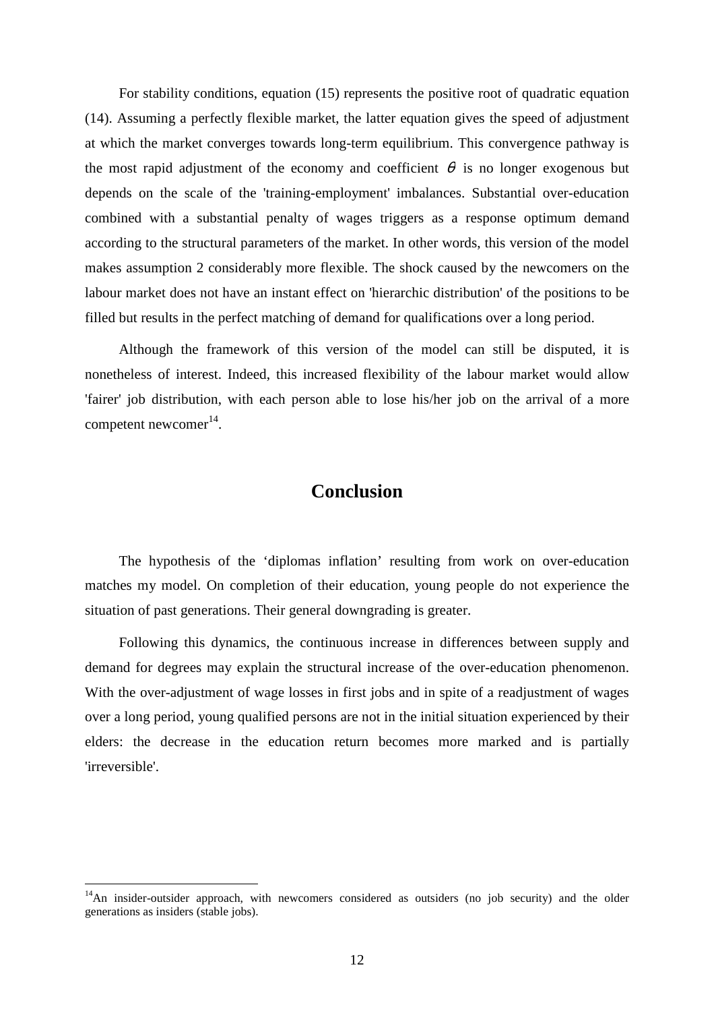For stability conditions, equation (15) represents the positive root of quadratic equation (14). Assuming a perfectly flexible market, the latter equation gives the speed of adjustment at which the market converges towards long-term equilibrium. This convergence pathway is the most rapid adjustment of the economy and coefficient  $\theta$  is no longer exogenous but depends on the scale of the 'training-employment' imbalances. Substantial over-education combined with a substantial penalty of wages triggers as a response optimum demand according to the structural parameters of the market. In other words, this version of the model makes assumption 2 considerably more flexible. The shock caused by the newcomers on the labour market does not have an instant effect on 'hierarchic distribution' of the positions to be filled but results in the perfect matching of demand for qualifications over a long period.

Although the framework of this version of the model can still be disputed, it is nonetheless of interest. Indeed, this increased flexibility of the labour market would allow 'fairer' job distribution, with each person able to lose his/her job on the arrival of a more competent newcomer $^{14}$ .

#### **Conclusion**

The hypothesis of the 'diplomas inflation' resulting from work on over-education matches my model. On completion of their education, young people do not experience the situation of past generations. Their general downgrading is greater.

Following this dynamics, the continuous increase in differences between supply and demand for degrees may explain the structural increase of the over-education phenomenon. With the over-adjustment of wage losses in first jobs and in spite of a readjustment of wages over a long period, young qualified persons are not in the initial situation experienced by their elders: the decrease in the education return becomes more marked and is partially 'irreversible'.

<sup>&</sup>lt;sup>14</sup>An insider-outsider approach, with newcomers considered as outsiders (no job security) and the older generations as insiders (stable jobs).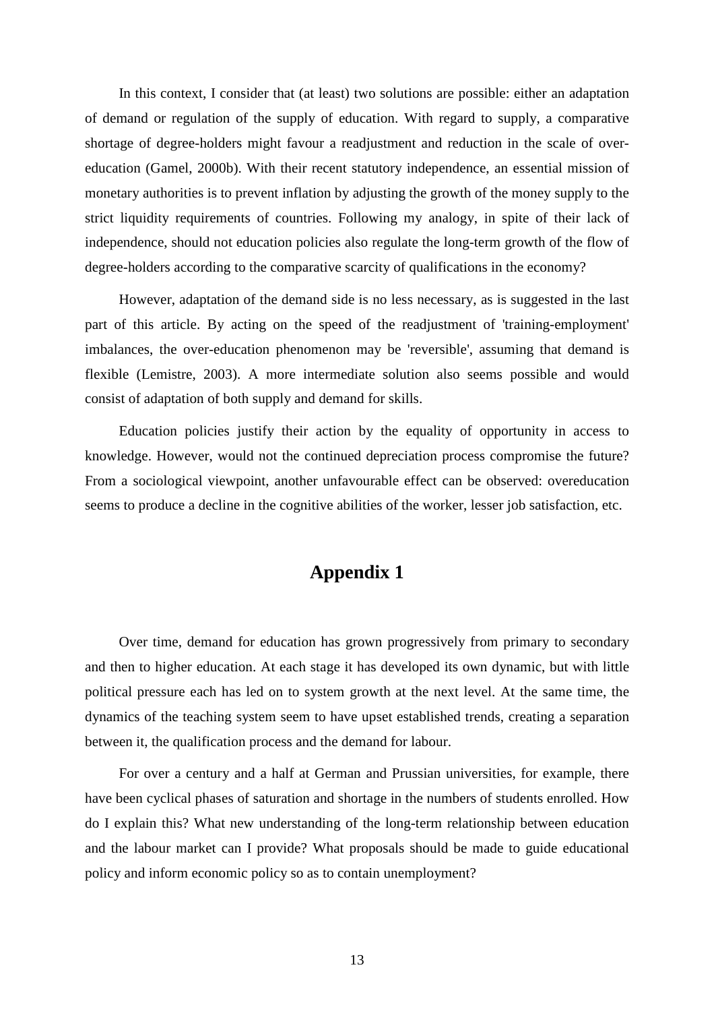In this context, I consider that (at least) two solutions are possible: either an adaptation of demand or regulation of the supply of education. With regard to supply, a comparative shortage of degree-holders might favour a readjustment and reduction in the scale of overeducation (Gamel, 2000b). With their recent statutory independence, an essential mission of monetary authorities is to prevent inflation by adjusting the growth of the money supply to the strict liquidity requirements of countries. Following my analogy, in spite of their lack of independence, should not education policies also regulate the long-term growth of the flow of degree-holders according to the comparative scarcity of qualifications in the economy?

However, adaptation of the demand side is no less necessary, as is suggested in the last part of this article. By acting on the speed of the readjustment of 'training-employment' imbalances, the over-education phenomenon may be 'reversible', assuming that demand is flexible (Lemistre, 2003). A more intermediate solution also seems possible and would consist of adaptation of both supply and demand for skills.

Education policies justify their action by the equality of opportunity in access to knowledge. However, would not the continued depreciation process compromise the future? From a sociological viewpoint, another unfavourable effect can be observed: overeducation seems to produce a decline in the cognitive abilities of the worker, lesser job satisfaction, etc.

#### **Appendix 1**

Over time, demand for education has grown progressively from primary to secondary and then to higher education. At each stage it has developed its own dynamic, but with little political pressure each has led on to system growth at the next level. At the same time, the dynamics of the teaching system seem to have upset established trends, creating a separation between it, the qualification process and the demand for labour.

For over a century and a half at German and Prussian universities, for example, there have been cyclical phases of saturation and shortage in the numbers of students enrolled. How do I explain this? What new understanding of the long-term relationship between education and the labour market can I provide? What proposals should be made to guide educational policy and inform economic policy so as to contain unemployment?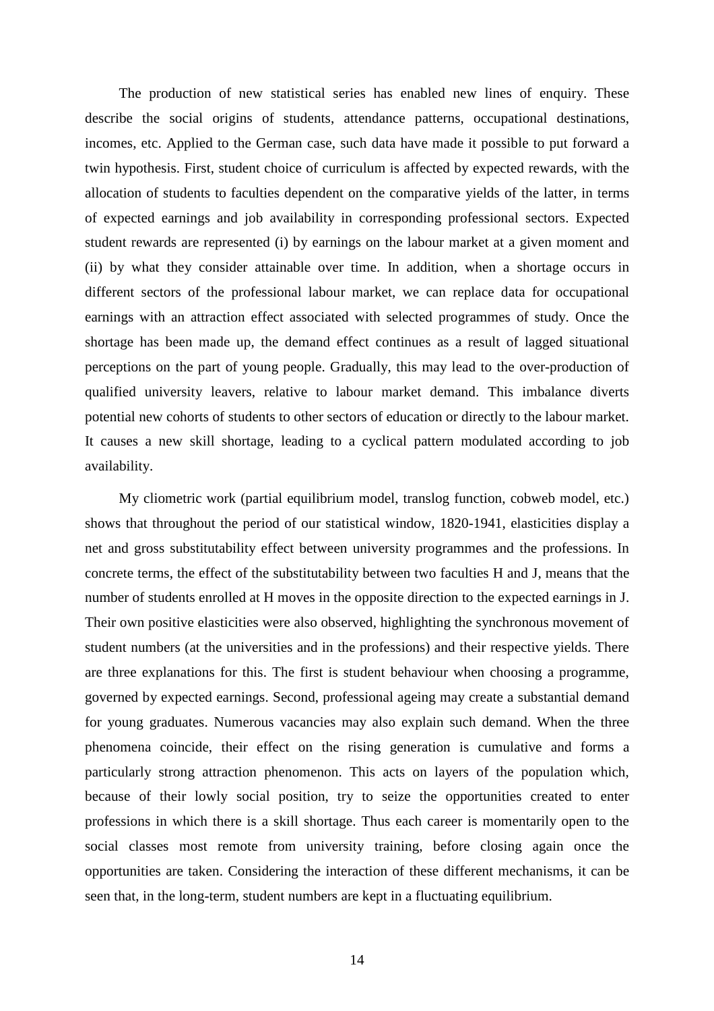The production of new statistical series has enabled new lines of enquiry. These describe the social origins of students, attendance patterns, occupational destinations, incomes, etc. Applied to the German case, such data have made it possible to put forward a twin hypothesis. First, student choice of curriculum is affected by expected rewards, with the allocation of students to faculties dependent on the comparative yields of the latter, in terms of expected earnings and job availability in corresponding professional sectors. Expected student rewards are represented (i) by earnings on the labour market at a given moment and (ii) by what they consider attainable over time. In addition, when a shortage occurs in different sectors of the professional labour market, we can replace data for occupational earnings with an attraction effect associated with selected programmes of study. Once the shortage has been made up, the demand effect continues as a result of lagged situational perceptions on the part of young people. Gradually, this may lead to the over-production of qualified university leavers, relative to labour market demand. This imbalance diverts potential new cohorts of students to other sectors of education or directly to the labour market. It causes a new skill shortage, leading to a cyclical pattern modulated according to job availability.

My cliometric work (partial equilibrium model, translog function, cobweb model, etc.) shows that throughout the period of our statistical window, 1820-1941, elasticities display a net and gross substitutability effect between university programmes and the professions. In concrete terms, the effect of the substitutability between two faculties H and J, means that the number of students enrolled at H moves in the opposite direction to the expected earnings in J. Their own positive elasticities were also observed, highlighting the synchronous movement of student numbers (at the universities and in the professions) and their respective yields. There are three explanations for this. The first is student behaviour when choosing a programme, governed by expected earnings. Second, professional ageing may create a substantial demand for young graduates. Numerous vacancies may also explain such demand. When the three phenomena coincide, their effect on the rising generation is cumulative and forms a particularly strong attraction phenomenon. This acts on layers of the population which, because of their lowly social position, try to seize the opportunities created to enter professions in which there is a skill shortage. Thus each career is momentarily open to the social classes most remote from university training, before closing again once the opportunities are taken. Considering the interaction of these different mechanisms, it can be seen that, in the long-term, student numbers are kept in a fluctuating equilibrium.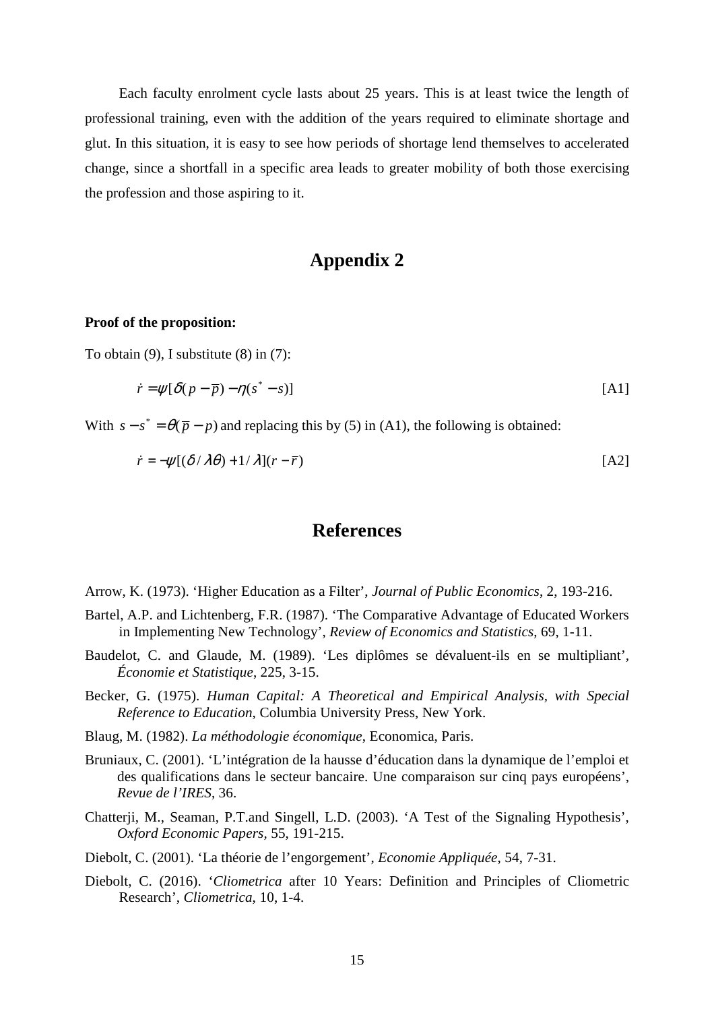Each faculty enrolment cycle lasts about 25 years. This is at least twice the length of professional training, even with the addition of the years required to eliminate shortage and glut. In this situation, it is easy to see how periods of shortage lend themselves to accelerated change, since a shortfall in a specific area leads to greater mobility of both those exercising the profession and those aspiring to it.

#### **Appendix 2**

**Proof of the proposition:** 

To obtain  $(9)$ , I substitute  $(8)$  in  $(7)$ :

$$
\dot{r} = \psi[\delta(p - \overline{p}) - \eta(s^* - s)] \tag{A1}
$$

With  $s - s^* = \theta(\bar{p} - p)$  and replacing this by (5) in (A1), the following is obtained:

$$
\dot{r} = -\psi[(\delta/\lambda\theta) + 1/\lambda](r - \bar{r})
$$
 [A2]

#### **References**

- Arrow, K. (1973). 'Higher Education as a Filter', *Journal of Public Economics*, 2, 193-216.
- Bartel, A.P. and Lichtenberg, F.R. (1987). 'The Comparative Advantage of Educated Workers in Implementing New Technology', *Review of Economics and Statistics*, 69, 1-11.
- Baudelot, C. and Glaude, M. (1989). 'Les diplômes se dévaluent-ils en se multipliant'*, Économie et Statistique*, 225, 3-15.
- Becker, G. (1975). *Human Capital: A Theoretical and Empirical Analysis, with Special Reference to Education*, Columbia University Press, New York.
- Blaug, M. (1982). *La méthodologie économique*, Economica, Paris.
- Bruniaux, C. (2001). 'L'intégration de la hausse d'éducation dans la dynamique de l'emploi et des qualifications dans le secteur bancaire. Une comparaison sur cinq pays européens', *Revue de l'IRES*, 36.
- Chatterji, M., Seaman, P.T.and Singell, L.D. (2003). 'A Test of the Signaling Hypothesis', *Oxford Economic Papers,* 55, 191-215.

Diebolt, C. (2001). 'La théorie de l'engorgement', *Economie Appliquée*, 54, 7-31.

Diebolt, C. (2016). '*Cliometrica* after 10 Years: Definition and Principles of Cliometric Research', *Cliometrica*, 10, 1-4.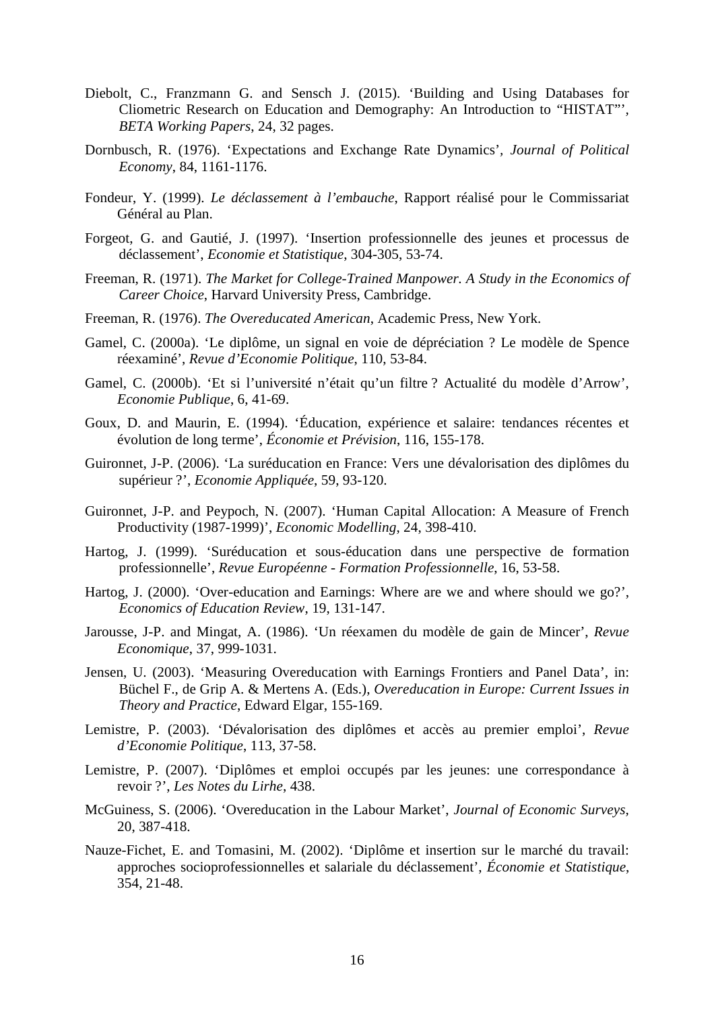- Diebolt, C., Franzmann G. and Sensch J. (2015). 'Building and Using Databases for Cliometric Research on Education and Demography: An Introduction to "HISTAT"'*, BETA Working Papers*, 24, 32 pages.
- Dornbusch, R. (1976). 'Expectations and Exchange Rate Dynamics'*, Journal of Political Economy*, 84, 1161-1176.
- Fondeur, Y. (1999). *Le déclassement à l'embauche*, Rapport réalisé pour le Commissariat Général au Plan.
- Forgeot, G. and Gautié, J. (1997). 'Insertion professionnelle des jeunes et processus de déclassement', *Economie et Statistique*, 304-305, 53-74.
- Freeman, R. (1971). *The Market for College-Trained Manpower. A Study in the Economics of Career Choice*, Harvard University Press, Cambridge.
- Freeman, R. (1976). *The Overeducated American*, Academic Press, New York.
- Gamel, C. (2000a). 'Le diplôme, un signal en voie de dépréciation ? Le modèle de Spence réexaminé', *Revue d'Economie Politique*, 110, 53-84.
- Gamel, C. (2000b). 'Et si l'université n'était qu'un filtre ? Actualité du modèle d'Arrow', *Economie Publique*, 6, 41-69.
- Goux, D. and Maurin, E. (1994). 'Éducation, expérience et salaire: tendances récentes et évolution de long terme', *Économie et Prévision*, 116, 155-178.
- Guironnet, J-P. (2006). 'La suréducation en France: Vers une dévalorisation des diplômes du supérieur ?', *Economie Appliquée*, 59, 93-120.
- Guironnet, J-P. and Peypoch, N. (2007). 'Human Capital Allocation: A Measure of French Productivity (1987-1999)', *Economic Modelling*, 24, 398-410.
- Hartog, J. (1999). 'Suréducation et sous-éducation dans une perspective de formation professionnelle', *Revue Européenne - Formation Professionnelle*, 16, 53-58.
- Hartog, J. (2000). 'Over-education and Earnings: Where are we and where should we go?', *Economics of Education Review*, 19, 131-147.
- Jarousse, J-P. and Mingat, A. (1986). 'Un réexamen du modèle de gain de Mincer', *Revue Economique*, 37, 999-1031.
- Jensen, U. (2003). 'Measuring Overeducation with Earnings Frontiers and Panel Data', in: Büchel F., de Grip A. & Mertens A. (Eds.), *Overeducation in Europe: Current Issues in Theory and Practice*, Edward Elgar, 155-169.
- Lemistre, P. (2003). 'Dévalorisation des diplômes et accès au premier emploi', *Revue d'Economie Politique*, 113, 37-58.
- Lemistre, P. (2007). 'Diplômes et emploi occupés par les jeunes: une correspondance à revoir ?', *Les Notes du Lirhe*, 438.
- McGuiness, S. (2006). 'Overeducation in the Labour Market', *Journal of Economic Surveys,* 20, 387-418.
- Nauze-Fichet, E. and Tomasini, M. (2002). 'Diplôme et insertion sur le marché du travail: approches socioprofessionnelles et salariale du déclassement', *Économie et Statistique*, 354, 21-48.